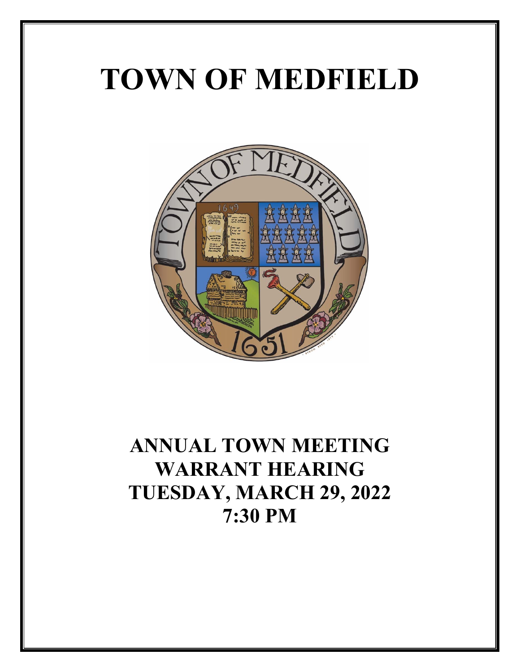# **TOWN OF MEDFIELD**



# **ANNUAL TOWN MEETING WARRANT HEARING TUESDAY, MARCH 29, 2022 7:30 PM**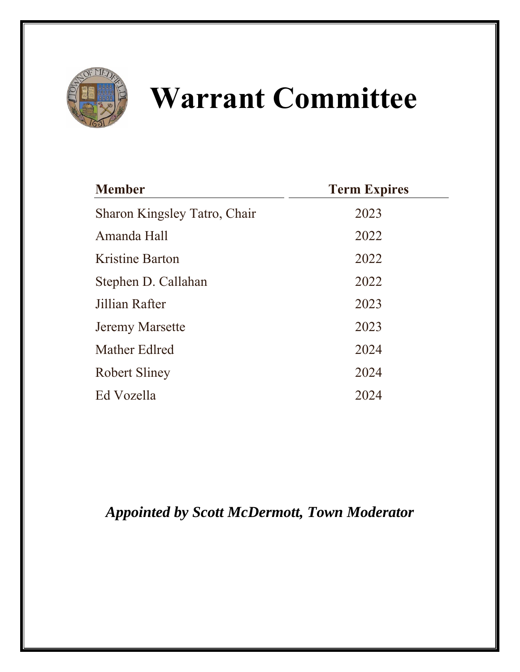

# **Warrant Committee**

| <b>Member</b>                | <b>Term Expires</b> |
|------------------------------|---------------------|
| Sharon Kingsley Tatro, Chair | 2023                |
| Amanda Hall                  | 2022                |
| Kristine Barton              | 2022                |
| Stephen D. Callahan          | 2022                |
| Jillian Rafter               | 2023                |
| <b>Jeremy Marsette</b>       | 2023                |
| Mather Edlred                | 2024                |
| <b>Robert Sliney</b>         | 2024                |
| Ed Vozella                   | 2024                |

*Appointed by Scott McDermott, Town Moderator*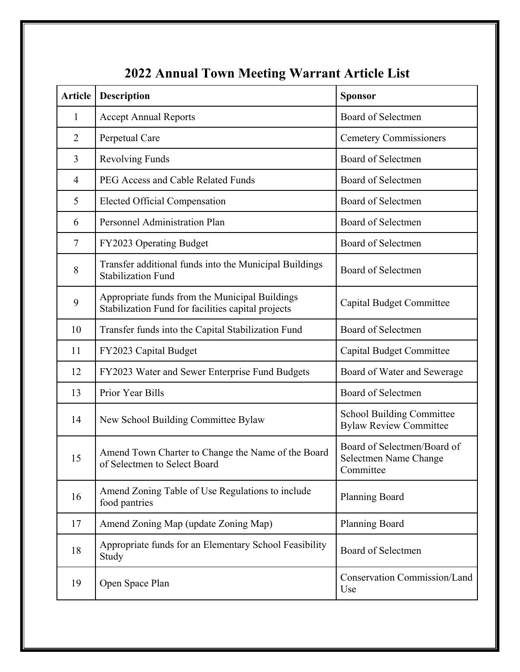| <b>Article</b> | <b>Description</b>                                                                                   | <b>Sponsor</b>                                                    |
|----------------|------------------------------------------------------------------------------------------------------|-------------------------------------------------------------------|
| $\mathbf{1}$   | <b>Accept Annual Reports</b>                                                                         | Board of Selectmen                                                |
| $\overline{2}$ | Perpetual Care                                                                                       | <b>Cemetery Commissioners</b>                                     |
| 3              | <b>Revolving Funds</b>                                                                               | Board of Selectmen                                                |
| $\overline{4}$ | PEG Access and Cable Related Funds                                                                   | Board of Selectmen                                                |
| 5              | <b>Elected Official Compensation</b>                                                                 | Board of Selectmen                                                |
| 6              | Personnel Administration Plan                                                                        | Board of Selectmen                                                |
| $\tau$         | FY2023 Operating Budget                                                                              | Board of Selectmen                                                |
| 8              | Transfer additional funds into the Municipal Buildings<br><b>Stabilization Fund</b>                  | Board of Selectmen                                                |
| 9              | Appropriate funds from the Municipal Buildings<br>Stabilization Fund for facilities capital projects | <b>Capital Budget Committee</b>                                   |
| 10             | Transfer funds into the Capital Stabilization Fund                                                   | Board of Selectmen                                                |
| 11             | FY2023 Capital Budget                                                                                | <b>Capital Budget Committee</b>                                   |
| 12             | FY2023 Water and Sewer Enterprise Fund Budgets                                                       | Board of Water and Sewerage                                       |
| 13             | Prior Year Bills                                                                                     | Board of Selectmen                                                |
| 14             | New School Building Committee Bylaw                                                                  | <b>School Building Committee</b><br><b>Bylaw Review Committee</b> |
| 15             | Amend Town Charter to Change the Name of the Board<br>of Selectmen to Select Board                   | Board of Selectmen/Board of<br>Selectmen Name Change<br>Committee |
| 16             | Amend Zoning Table of Use Regulations to include<br>food pantries                                    | Planning Board                                                    |
| 17             | Amend Zoning Map (update Zoning Map)                                                                 | Planning Board                                                    |
| 18             | Appropriate funds for an Elementary School Feasibility<br>Study                                      | <b>Board of Selectmen</b>                                         |
| 19             | Open Space Plan                                                                                      | Conservation Commission/Land<br>Use                               |

# **2022 Annual Town Meeting Warrant Article List**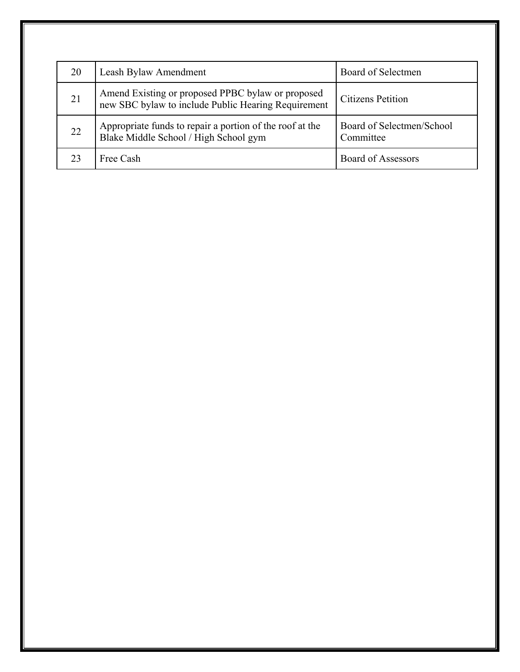| 20 | Leash Bylaw Amendment                                                                                    | Board of Selectmen                     |
|----|----------------------------------------------------------------------------------------------------------|----------------------------------------|
| 21 | Amend Existing or proposed PPBC bylaw or proposed<br>new SBC bylaw to include Public Hearing Requirement | Citizens Petition                      |
| 22 | Appropriate funds to repair a portion of the roof at the<br>Blake Middle School / High School gym        | Board of Selectmen/School<br>Committee |
|    | Free Cash                                                                                                | <b>Board of Assessors</b>              |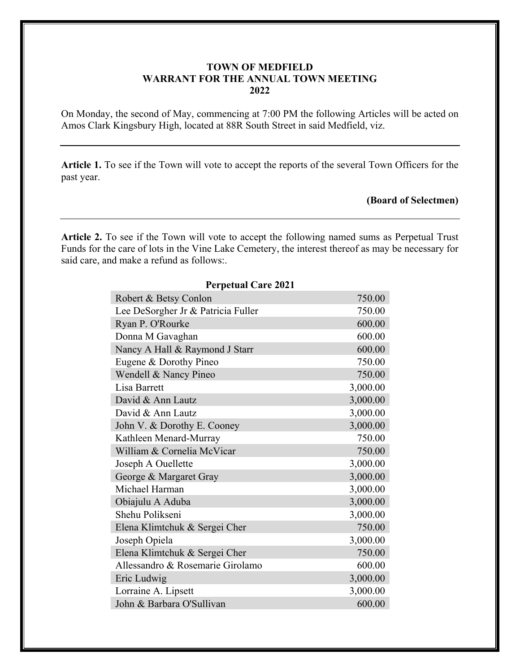# **TOWN OF MEDFIELD WARRANT FOR THE ANNUAL TOWN MEETING 2022**

On Monday, the second of May, commencing at 7:00 PM the following Articles will be acted on Amos Clark Kingsbury High, located at 88R South Street in said Medfield, viz.

**Article 1.** To see if the Town will vote to accept the reports of the several Town Officers for the past year.

# **(Board of Selectmen)**

**Article 2.** To see if the Town will vote to accept the following named sums as Perpetual Trust Funds for the care of lots in the Vine Lake Cemetery, the interest thereof as may be necessary for said care, and make a refund as follows:.

| <b>Perpetual Care 2021</b>         |          |  |  |  |  |  |
|------------------------------------|----------|--|--|--|--|--|
| Robert & Betsy Conlon              | 750.00   |  |  |  |  |  |
| Lee DeSorgher Jr & Patricia Fuller | 750.00   |  |  |  |  |  |
| Ryan P. O'Rourke                   | 600.00   |  |  |  |  |  |
| Donna M Gavaghan                   | 600.00   |  |  |  |  |  |
| Nancy A Hall & Raymond J Starr     | 600.00   |  |  |  |  |  |
| Eugene & Dorothy Pineo             | 750.00   |  |  |  |  |  |
| Wendell & Nancy Pineo              | 750.00   |  |  |  |  |  |
| Lisa Barrett                       | 3,000.00 |  |  |  |  |  |
| David & Ann Lautz                  | 3,000.00 |  |  |  |  |  |
| David & Ann Lautz                  | 3,000.00 |  |  |  |  |  |
| John V. & Dorothy E. Cooney        | 3,000.00 |  |  |  |  |  |
| Kathleen Menard-Murray             | 750.00   |  |  |  |  |  |
| William & Cornelia McVicar         | 750.00   |  |  |  |  |  |
| Joseph A Ouellette                 | 3,000.00 |  |  |  |  |  |
| George & Margaret Gray             | 3,000.00 |  |  |  |  |  |
| Michael Harman                     | 3,000.00 |  |  |  |  |  |
| Obiajulu A Aduba                   | 3,000.00 |  |  |  |  |  |
| Shehu Polikseni                    | 3,000.00 |  |  |  |  |  |
| Elena Klimtchuk & Sergei Cher      | 750.00   |  |  |  |  |  |
| Joseph Opiela                      | 3,000.00 |  |  |  |  |  |
| Elena Klimtchuk & Sergei Cher      | 750.00   |  |  |  |  |  |
| Allessandro & Rosemarie Girolamo   | 600.00   |  |  |  |  |  |
| Eric Ludwig                        | 3,000.00 |  |  |  |  |  |
| Lorraine A. Lipsett                | 3,000.00 |  |  |  |  |  |
| John & Barbara O'Sullivan          | 600.00   |  |  |  |  |  |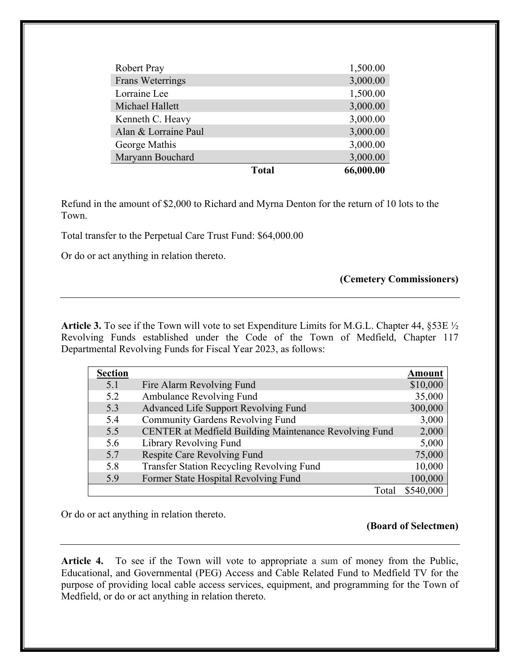| <b>Robert Pray</b>   |              | 1,500.00  |
|----------------------|--------------|-----------|
| Frans Weterrings     |              | 3,000.00  |
| Lorraine Lee         |              | 1,500.00  |
| Michael Hallett      |              | 3,000.00  |
| Kenneth C. Heavy     |              | 3,000.00  |
| Alan & Lorraine Paul |              | 3,000.00  |
| George Mathis        |              | 3,000.00  |
| Maryann Bouchard     |              | 3,000.00  |
|                      | <b>Total</b> | 66,000.00 |

Refund in the amount of \$2,000 to Richard and Myrna Denton for the return of 10 lots to the Town.

Total transfer to the Perpetual Care Trust Fund: \$64,000.00

Or do or act anything in relation thereto.

# **(Cemetery Commissioners)**

**Article 3.** To see if the Town will vote to set Expenditure Limits for M.G.L. Chapter 44, §53E ½ Revolving Funds established under the Code of the Town of Medfield, Chapter 117 Departmental Revolving Funds for Fiscal Year 2023, as follows:

| <b>Section</b> |                                                        | <b>Amount</b> |
|----------------|--------------------------------------------------------|---------------|
| 5.1            | Fire Alarm Revolving Fund                              | \$10,000      |
| 5.2            | Ambulance Revolving Fund                               | 35,000        |
| 5.3            | Advanced Life Support Revolving Fund                   | 300,000       |
| 5.4            | Community Gardens Revolving Fund                       | 3,000         |
| 5.5            | CENTER at Medfield Building Maintenance Revolving Fund | 2,000         |
| 5.6            | Library Revolving Fund                                 | 5,000         |
| 5.7            | Respite Care Revolving Fund                            | 75,000        |
| 5.8            | Transfer Station Recycling Revolving Fund              | 10,000        |
| 5.9            | Former State Hospital Revolving Fund                   | 100,000       |
|                | Total                                                  | \$540,000     |

Or do or act anything in relation thereto.

# **(Board of Selectmen)**

**Article 4.** To see if the Town will vote to appropriate a sum of money from the Public, Educational, and Governmental (PEG) Access and Cable Related Fund to Medfield TV for the purpose of providing local cable access services, equipment, and programming for the Town of Medfield, or do or act anything in relation thereto.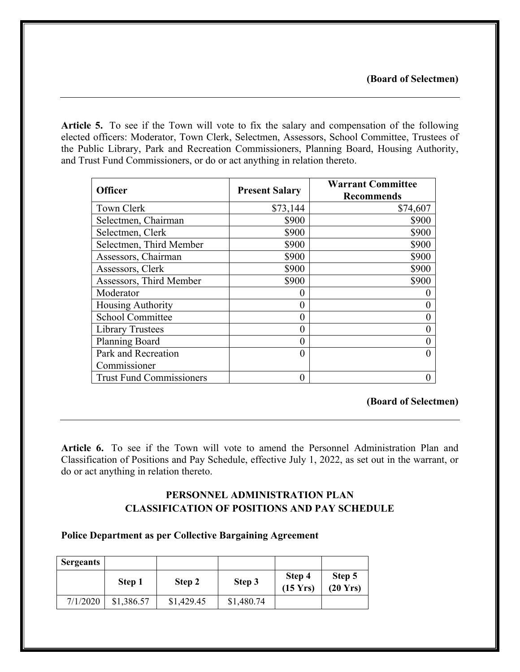**Article 5.** To see if the Town will vote to fix the salary and compensation of the following elected officers: Moderator, Town Clerk, Selectmen, Assessors, School Committee, Trustees of the Public Library, Park and Recreation Commissioners, Planning Board, Housing Authority, and Trust Fund Commissioners, or do or act anything in relation thereto.

| <b>Officer</b>           | <b>Present Salary</b> | <b>Warrant Committee</b> |
|--------------------------|-----------------------|--------------------------|
|                          |                       | <b>Recommends</b>        |
| Town Clerk               | \$73,144              | \$74,607                 |
| Selectmen, Chairman      | \$900                 | \$900                    |
| Selectmen, Clerk         | \$900                 | \$900                    |
| Selectmen, Third Member  | \$900                 | \$900                    |
| Assessors, Chairman      | \$900                 | \$900                    |
| Assessors, Clerk         | \$900                 | \$900                    |
| Assessors, Third Member  | \$900                 | \$900                    |
| Moderator                |                       |                          |
| Housing Authority        | 0                     |                          |
| <b>School Committee</b>  | 0                     |                          |
| <b>Library Trustees</b>  |                       |                          |
| <b>Planning Board</b>    | 0                     |                          |
| Park and Recreation      | 0                     |                          |
| Commissioner             |                       |                          |
| Trust Fund Commissioners | 0                     |                          |

# **(Board of Selectmen)**

**Article 6.** To see if the Town will vote to amend the Personnel Administration Plan and Classification of Positions and Pay Schedule, effective July 1, 2022, as set out in the warrant, or do or act anything in relation thereto.

# **PERSONNEL ADMINISTRATION PLAN CLASSIFICATION OF POSITIONS AND PAY SCHEDULE**

### **Police Department as per Collective Bargaining Agreement**

| <b>Sergeants</b> |            |            |            |                              |                              |
|------------------|------------|------------|------------|------------------------------|------------------------------|
|                  | Step 1     | Step 2     | Step 3     | Step 4<br>$(15 \text{ Yrs})$ | Step 5<br>$(20 \text{ Yrs})$ |
| 7/1/2020         | \$1,386.57 | \$1,429.45 | \$1,480.74 |                              |                              |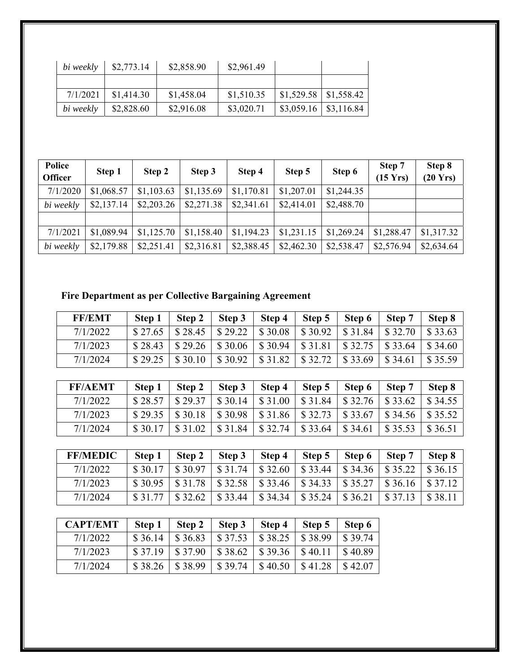| bi weekly | \$2,773.14 | \$2,858.90 | \$2,961.49 |                                       |  |
|-----------|------------|------------|------------|---------------------------------------|--|
|           |            |            |            |                                       |  |
| 7/1/2021  | \$1,414.30 | \$1,458.04 | \$1,510.35 | $\vert$ \$1,529.58 $\vert$ \$1,558.42 |  |
| bi weekly | \$2,828.60 | \$2,916.08 | \$3,020.71 | $\frac{$3,059.16}{\$3,116.84}$        |  |

| Police<br><b>Officer</b> | Step 1     | Step 2     | Step 3     | Step 4     | Step 5     | Step 6     | Step 7<br>$(15 \text{ Yrs})$ | Step 8<br>(20 Yrs) |
|--------------------------|------------|------------|------------|------------|------------|------------|------------------------------|--------------------|
| 7/1/2020                 | \$1,068.57 | \$1,103.63 | \$1,135.69 | \$1,170.81 | \$1,207.01 | \$1,244.35 |                              |                    |
| bi weekly                | \$2,137.14 | \$2,203.26 | \$2,271.38 | \$2,341.61 | \$2,414.01 | \$2,488.70 |                              |                    |
|                          |            |            |            |            |            |            |                              |                    |
| 7/1/2021                 | \$1,089.94 | \$1,125.70 | \$1,158.40 | \$1,194.23 | \$1,231.15 | \$1,269.24 | \$1,288.47                   | \$1,317.32         |
| bi weekly                | \$2,179.88 | \$2,251.41 | \$2,316.81 | \$2,388.45 | \$2,462.30 | \$2,538.47 | \$2,576.94                   | \$2,634.64         |

# **Fire Department as per Collective Bargaining Agreement**

| <b>FF/EMT</b> | Step 1  | Step 2            | Step 3                 | Step 4  | Step $5 \mid$                                                               | Step 6 | Step 7                        | Step 8 |
|---------------|---------|-------------------|------------------------|---------|-----------------------------------------------------------------------------|--------|-------------------------------|--------|
| 7/1/2022      | \$27.65 |                   |                        |         | $\vert$ \$28.45   \$29.22   \$30.08   \$30.92   \$31.84   \$32.70   \$33.63 |        |                               |        |
| 7/1/2023      | \$28.43 |                   |                        |         | $\vert$ \$29.26 \ \$30.06 \ \$30.94 \ \$31.81 \ \$32.75 \ \$33.64 \ \$34.60 |        |                               |        |
| 7/1/2024      | \$29.25 | $\frac{$30.10}{}$ | $\frac{1}{2}$ \$ 30.92 | \$31.82 | $$32.72$ $$33.69$                                                           |        | $\parallel$ \$34.61 \ \$35.59 |        |

| <b>FF/AEMT</b> | Step 1  | Step 2                 | Step 3  | Step 4  | Step 5                                                               | Step 6  | Step 7                 | Step 8  |
|----------------|---------|------------------------|---------|---------|----------------------------------------------------------------------|---------|------------------------|---------|
| 7/1/2022       | \$28.57 | $\frac{8}{29.37}$      | \$30.14 |         | $\vert$ \$31.00   \$31.84   \$32.76   \$33.62                        |         |                        | \$34.55 |
| 7/1/2023       | \$29.35 | $\frac{1}{2}$ \$ 30.18 |         |         | $$30.98 \mid $31.86 \mid $32.73 \mid $33.67 \mid $34.56 \mid $35.52$ |         |                        |         |
| 7/1/2024       | \$30.17 | \$31.02                | \$31.84 | \$32.74 | \$33.64                                                              | \$34.61 | $\frac{1}{2}$ \$ 35.53 | \$36.51 |

| <b>FF/MEDIC</b> | Step 1  | Step 2  | Step 3         | Step 4 | Step 5 | Step 6                                                                                                    | Step 7 | Step 8 |
|-----------------|---------|---------|----------------|--------|--------|-----------------------------------------------------------------------------------------------------------|--------|--------|
| 7/1/2022        | \$30.17 | \$30.97 | $\sqrt{31.74}$ |        |        | $\vert$ \$32.60   \$33.44   \$34.36   \$35.22   \$36.15                                                   |        |        |
| 7/1/2023        |         |         |                |        |        | $\frac{1}{2}$ \$30.95 \ \ \$31.78 \ \ \$32.58 \ \ \$33.46 \ \ \$34.33 \ \ \$35.27 \ \ \$36.16 \ \ \$37.12 |        |        |
| 7/1/2024        | \$31.77 | \$32.62 | \$33.44        |        |        | $\vert$ \$34.34   \$35.24   \$36.21   \$37.13   \$38.11                                                   |        |        |

| <b>CAPT/EMT</b> | Step 1  | Step 2  | Step 3                                                | Step 4  | Step 5            | Step 6                 |
|-----------------|---------|---------|-------------------------------------------------------|---------|-------------------|------------------------|
| 7/1/2022        | \$36.14 | \$36.83 | $\$37.53$                                             | \$38.25 | $\frac{8}{38.99}$ | \$39.74                |
| 7/1/2023        | \$37.19 |         | $$37.90 \;   \; $38.62 \;   \; $39.36 \;   \; $40.11$ |         |                   | $\frac{1}{2}$ \$ 40.89 |
| 7/1/2024        | \$38.26 | \$38.99 | \$39.74                                               | \$40.50 | \$41.28           | \$42.07                |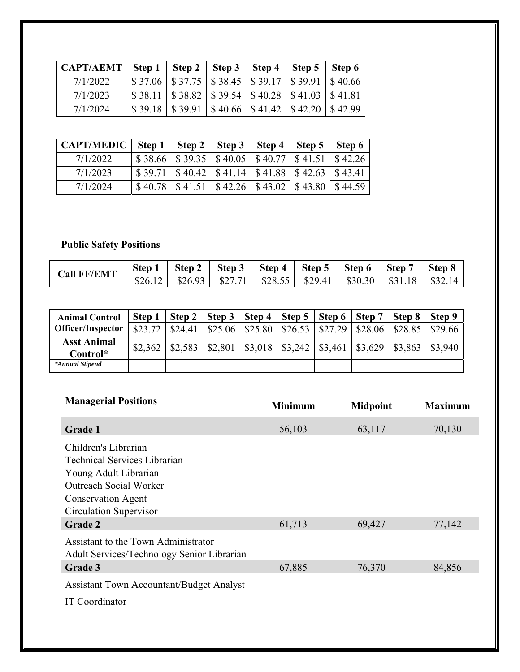| CAPT/AEMT   Step 1   Step 2   Step 3   Step 4   Step 5   Step 6 |                                                                         |  |  |  |
|-----------------------------------------------------------------|-------------------------------------------------------------------------|--|--|--|
| 7/1/2022                                                        | $\vert$ \$ 37.06   \$ 37.75   \$ 38.45   \$ 39.17   \$ 39.91   \$ 40.66 |  |  |  |
| 7/1/2023                                                        | $\vert$ \$38.11   \$38.82   \$39.54   \$40.28   \$41.03   \$41.81       |  |  |  |
| 7/1/2024                                                        | $\vert$ \$ 39.18   \$ 39.91   \$ 40.66   \$ 41.42   \$ 42.20   \$ 42.99 |  |  |  |

| CAPT/MEDIC   Step 1   Step 2   Step 3   Step 4 |  |                                                                                                                                                                                                                                                                                                                                                             | Step 5 Step 6 |  |
|------------------------------------------------|--|-------------------------------------------------------------------------------------------------------------------------------------------------------------------------------------------------------------------------------------------------------------------------------------------------------------------------------------------------------------|---------------|--|
| 7/1/2022                                       |  | $$38.66 \mid $39.35 \mid $40.05 \mid $40.77 \mid $41.51 \mid $42.26$                                                                                                                                                                                                                                                                                        |               |  |
| 7/1/2023                                       |  | $\frac{1}{2}$ \$39.71   \$40.42   \$41.14   \$41.88   \$42.63   \$43.41                                                                                                                                                                                                                                                                                     |               |  |
| 7/1/2024                                       |  | $\frac{$40.78 \times 41.51}{$\frac{41.51 \times 42.26}{$\frac{42.26 \times 43.02}{$\frac{43.80 \times 43.80}{$\frac{43.80 \times 44.59}{$\frac{44.59 \times 44.595}{$\frac{44.59 \times 44.595}{$\frac{44.59 \times 44.595}{$\frac{43.80 \times 44.595}{$\frac{43.80 \times 44.595}{$\frac{43.80 \times 44.595}{$\frac{43.80 \times 44.595}{$\frac{43.80 \$ |               |  |

# **Public Safety Positions**

| <b>Call FF/EMT</b> | Step 1  | <b>Step</b> | Step 3  | Step 4 | Step 5 | Step 6                         | <b>Step</b>  | Step 8 |
|--------------------|---------|-------------|---------|--------|--------|--------------------------------|--------------|--------|
|                    | \$26.12 | \$26.93     | \$27.71 |        |        | $$28.55$   $$29.41$   $$30.30$ | 1.18<br>\$31 | \$32   |

| <b>Animal Control</b>    | Step 1  |                       | Step 2   Step 3   Step 4   Step 5   Step 6   Step 7   Step 8 |         |                                              |         |         |         | Step 9             |
|--------------------------|---------|-----------------------|--------------------------------------------------------------|---------|----------------------------------------------|---------|---------|---------|--------------------|
| <b>Officer/Inspector</b> | \$23.72 | $\frac{1}{2}$ \$24.41 | \$25.06                                                      | \$25.80 | \$26.53                                      | \$27.29 | \$28.06 | \$28.85 | \$29.66            |
| <b>Asst Animal</b>       | \$2,362 | \$2,583               | \$2,801                                                      |         | $\mid$ \$3,018   \$3,242   \$3,461   \$3,629 |         |         |         | $$3,863$   \$3,940 |
| Control*                 |         |                       |                                                              |         |                                              |         |         |         |                    |
| *Annual Stipend          |         |                       |                                                              |         |                                              |         |         |         |                    |

| <b>Managerial Positions</b>                     | <b>Minimum</b> | <b>Midpoint</b> | <b>Maximum</b> |
|-------------------------------------------------|----------------|-----------------|----------------|
| <b>Grade 1</b>                                  | 56,103         | 63,117          | 70,130         |
| Children's Librarian                            |                |                 |                |
| <b>Technical Services Librarian</b>             |                |                 |                |
| Young Adult Librarian                           |                |                 |                |
| <b>Outreach Social Worker</b>                   |                |                 |                |
| <b>Conservation Agent</b>                       |                |                 |                |
| Circulation Supervisor                          |                |                 |                |
| Grade 2                                         | 61,713         | 69,427          | 77,142         |
| Assistant to the Town Administrator             |                |                 |                |
| Adult Services/Technology Senior Librarian      |                |                 |                |
| Grade 3                                         | 67,885         | 76,370          | 84,856         |
| <b>Assistant Town Accountant/Budget Analyst</b> |                |                 |                |
| IT Coordinator                                  |                |                 |                |
|                                                 |                |                 |                |
|                                                 |                |                 |                |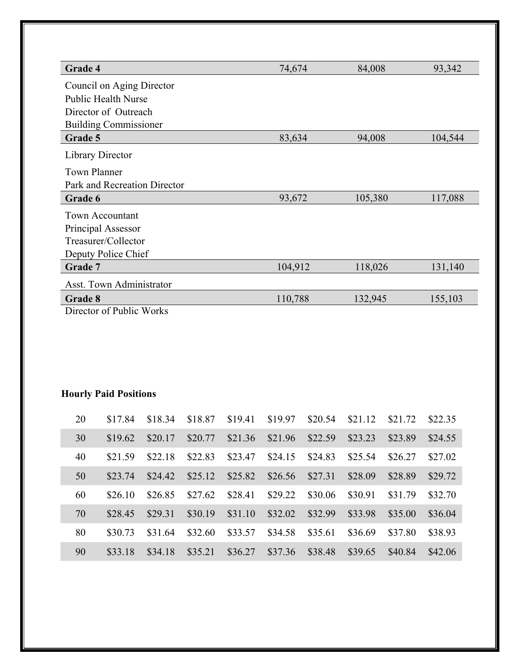| Grade 4                         | 74,674  | 84,008  | 93,342  |
|---------------------------------|---------|---------|---------|
| Council on Aging Director       |         |         |         |
| <b>Public Health Nurse</b>      |         |         |         |
| Director of Outreach            |         |         |         |
| <b>Building Commissioner</b>    |         |         |         |
| Grade 5                         | 83,634  | 94,008  | 104,544 |
| Library Director                |         |         |         |
| <b>Town Planner</b>             |         |         |         |
| Park and Recreation Director    |         |         |         |
| Grade 6                         | 93,672  | 105,380 | 117,088 |
| <b>Town Accountant</b>          |         |         |         |
| Principal Assessor              |         |         |         |
| Treasurer/Collector             |         |         |         |
| Deputy Police Chief             |         |         |         |
| Grade 7                         | 104,912 | 118,026 | 131,140 |
| <b>Asst. Town Administrator</b> |         |         |         |
| Grade 8                         | 110,788 | 132,945 | 155,103 |
| Director of Public Works        |         |         |         |

# **Hourly Paid Positions**

| 20 | \$17.84 | \$18.34 | \$18.87 | \$19.41 | \$19.97 | \$20.54 | \$21.12 | \$21.72 | \$22.35 |
|----|---------|---------|---------|---------|---------|---------|---------|---------|---------|
| 30 | \$19.62 | \$20.17 | \$20.77 | \$21.36 | \$21.96 | \$22.59 | \$23.23 | \$23.89 | \$24.55 |
| 40 | \$21.59 | \$22.18 | \$22.83 | \$23.47 | \$24.15 | \$24.83 | \$25.54 | \$26.27 | \$27.02 |
| 50 | \$23.74 | \$24.42 | \$25.12 | \$25.82 | \$26.56 | \$27.31 | \$28.09 | \$28.89 | \$29.72 |
| 60 | \$26.10 | \$26.85 | \$27.62 | \$28.41 | \$29.22 | \$30.06 | \$30.91 | \$31.79 | \$32.70 |
| 70 | \$28.45 | \$29.31 | \$30.19 | \$31.10 | \$32.02 | \$32.99 | \$33.98 | \$35.00 | \$36.04 |
| 80 | \$30.73 | \$31.64 | \$32.60 | \$33.57 | \$34.58 | \$35.61 | \$36.69 | \$37.80 | \$38.93 |
| 90 | \$33.18 | \$34.18 | \$35.21 | \$36.27 | \$37.36 | \$38.48 | \$39.65 | \$40.84 | \$42.06 |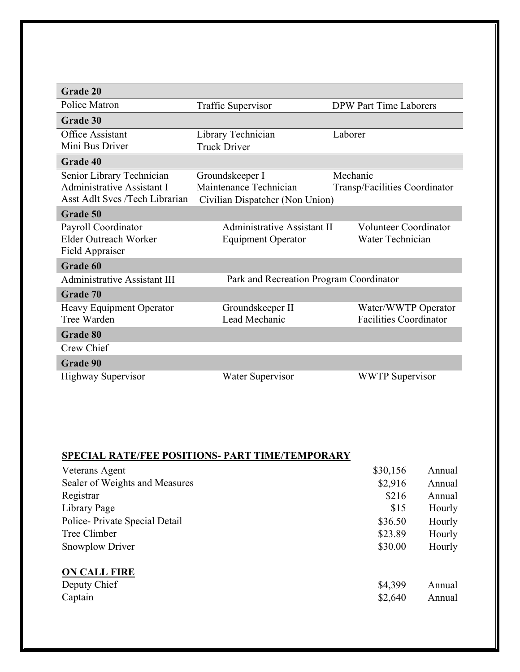| <b>Grade 20</b>                     |                                         |                               |
|-------------------------------------|-----------------------------------------|-------------------------------|
| Police Matron                       | Traffic Supervisor                      | <b>DPW Part Time Laborers</b> |
| Grade 30                            |                                         |                               |
| <b>Office Assistant</b>             | Library Technician                      | Laborer                       |
| Mini Bus Driver                     | <b>Truck Driver</b>                     |                               |
| Grade 40                            |                                         |                               |
| Senior Library Technician           | Groundskeeper I                         | Mechanic                      |
| Administrative Assistant I          | Maintenance Technician                  | Transp/Facilities Coordinator |
| Asst Adlt Svcs /Tech Librarian      | Civilian Dispatcher (Non Union)         |                               |
| Grade 50                            |                                         |                               |
| Payroll Coordinator                 | Administrative Assistant II             | <b>Volunteer Coordinator</b>  |
| Elder Outreach Worker               | <b>Equipment Operator</b>               | Water Technician              |
| Field Appraiser                     |                                         |                               |
| Grade 60                            |                                         |                               |
| <b>Administrative Assistant III</b> | Park and Recreation Program Coordinator |                               |
| Grade 70                            |                                         |                               |
| Heavy Equipment Operator            | Groundskeeper II                        | Water/WWTP Operator           |
| Tree Warden                         | Lead Mechanic                           | <b>Facilities Coordinator</b> |
| Grade 80                            |                                         |                               |
| Crew Chief                          |                                         |                               |
| <b>Grade 90</b>                     |                                         |                               |
| Highway Supervisor                  | Water Supervisor                        | <b>WWTP</b> Supervisor        |

# **SPECIAL RATE/FEE POSITIONS- PART TIME/TEMPORARY**

| Veterans Agent                 | \$30,156 | Annual |
|--------------------------------|----------|--------|
| Sealer of Weights and Measures | \$2,916  | Annual |
| Registrar                      | \$216    | Annual |
| Library Page                   | \$15     | Hourly |
| Police-Private Special Detail  | \$36.50  | Hourly |
| Tree Climber                   | \$23.89  | Hourly |
| <b>Snowplow Driver</b>         | \$30.00  | Hourly |
| <b>ON CALL FIRE</b>            |          |        |
| Deputy Chief                   | \$4,399  | Annual |
| Captain                        | \$2,640  | Annual |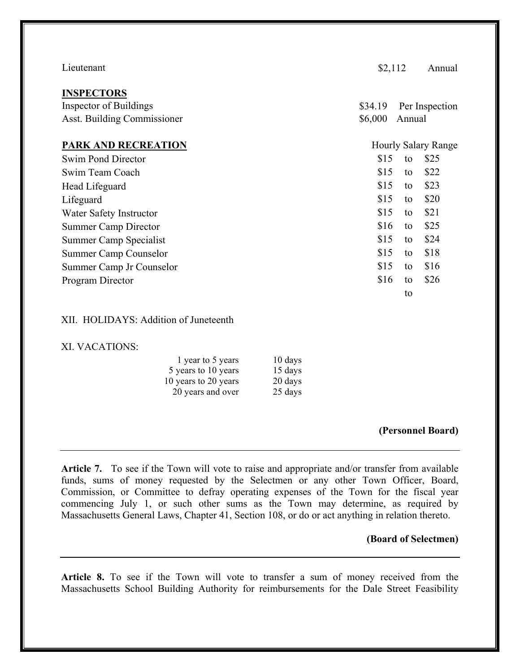| Lieutenant                                                                 | \$2,112            |        | Annual                     |
|----------------------------------------------------------------------------|--------------------|--------|----------------------------|
| <b>INSPECTORS</b><br>Inspector of Buildings<br>Asst. Building Commissioner | \$34.19<br>\$6,000 | Annual | Per Inspection             |
| <b>PARK AND RECREATION</b>                                                 |                    |        | <b>Hourly Salary Range</b> |
| Swim Pond Director                                                         | \$15               | to     | \$25                       |
| Swim Team Coach                                                            | \$15               | to     | \$22                       |
| Head Lifeguard                                                             | \$15               | to     | \$23                       |
| Lifeguard                                                                  | \$15               | to     | \$20                       |
| Water Safety Instructor                                                    | \$15               | to     | \$21                       |
| <b>Summer Camp Director</b>                                                | \$16               | to     | \$25                       |
| Summer Camp Specialist                                                     | \$15               | to     | \$24                       |
| Summer Camp Counselor                                                      | \$15               | to     | \$18                       |
| Summer Camp Jr Counselor                                                   | \$15               | to     | \$16                       |
| Program Director                                                           | \$16               | to     | \$26                       |
|                                                                            |                    | to     |                            |

# XII. HOLIDAYS: Addition of Juneteenth

# XI. VACATIONS:

| 1 year to 5 years    | 10 days |
|----------------------|---------|
| 5 years to 10 years  | 15 days |
| 10 years to 20 years | 20 days |
| 20 years and over    | 25 days |

#### **(Personnel Board)**

**Article 7.** To see if the Town will vote to raise and appropriate and/or transfer from available funds, sums of money requested by the Selectmen or any other Town Officer, Board, Commission, or Committee to defray operating expenses of the Town for the fiscal year commencing July 1, or such other sums as the Town may determine, as required by Massachusetts General Laws, Chapter 41, Section 108, or do or act anything in relation thereto.

# **(Board of Selectmen)**

**Article 8.** To see if the Town will vote to transfer a sum of money received from the Massachusetts School Building Authority for reimbursements for the Dale Street Feasibility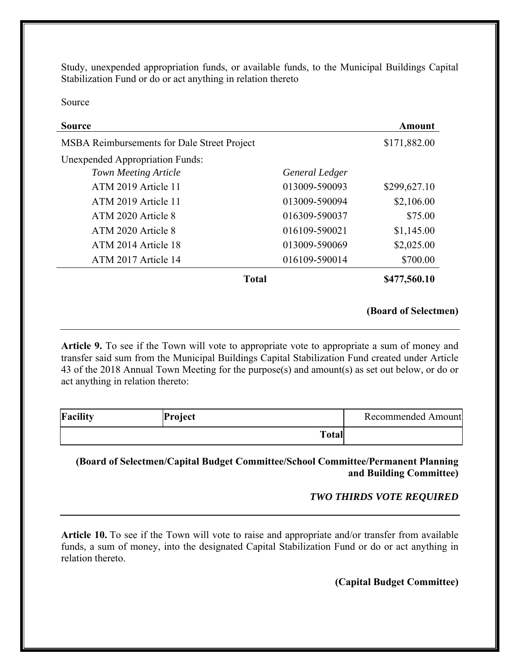Study, unexpended appropriation funds, or available funds, to the Municipal Buildings Capital Stabilization Fund or do or act anything in relation thereto

Source

| Source                                      |                | Amount       |
|---------------------------------------------|----------------|--------------|
| MSBA Reimbursements for Dale Street Project |                | \$171,882.00 |
| <b>Unexpended Appropriation Funds:</b>      |                |              |
| <b>Town Meeting Article</b>                 | General Ledger |              |
| ATM 2019 Article 11                         | 013009-590093  | \$299,627.10 |
| ATM 2019 Article 11                         | 013009-590094  | \$2,106.00   |
| ATM 2020 Article 8                          | 016309-590037  | \$75.00      |
| ATM 2020 Article 8                          | 016109-590021  | \$1,145.00   |
| ATM 2014 Article 18                         | 013009-590069  | \$2,025.00   |
| ATM 2017 Article 14                         | 016109-590014  | \$700.00     |
| <b>Total</b>                                |                | \$477,560.10 |

# **(Board of Selectmen)**

**Article 9.** To see if the Town will vote to appropriate vote to appropriate a sum of money and transfer said sum from the Municipal Buildings Capital Stabilization Fund created under Article 43 of the 2018 Annual Town Meeting for the purpose(s) and amount(s) as set out below, or do or act anything in relation thereto:

| <b>Facility</b> | Project      | Recommended Amount |
|-----------------|--------------|--------------------|
|                 | <b>Total</b> |                    |

# **(Board of Selectmen/Capital Budget Committee/School Committee/Permanent Planning and Building Committee)**

# *TWO THIRDS VOTE REQUIRED*

**Article 10.** To see if the Town will vote to raise and appropriate and/or transfer from available funds, a sum of money, into the designated Capital Stabilization Fund or do or act anything in relation thereto.

# **(Capital Budget Committee)**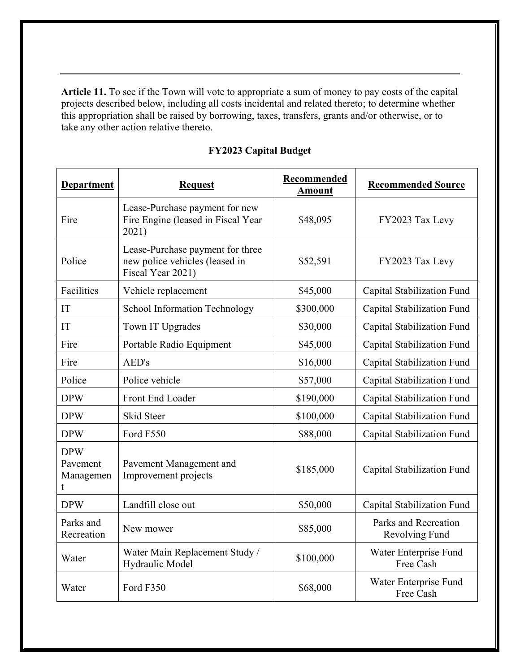**Article 11.** To see if the Town will vote to appropriate a sum of money to pay costs of the capital projects described below, including all costs incidental and related thereto; to determine whether this appropriation shall be raised by borrowing, taxes, transfers, grants and/or otherwise, or to take any other action relative thereto.

| <b>Department</b>                        | <b>Request</b>                                                                          | Recommended<br><b>Amount</b> | <b>Recommended Source</b>              |  |  |  |
|------------------------------------------|-----------------------------------------------------------------------------------------|------------------------------|----------------------------------------|--|--|--|
| Fire                                     | Lease-Purchase payment for new<br>Fire Engine (leased in Fiscal Year<br>2021)           | \$48,095                     | FY2023 Tax Levy                        |  |  |  |
| Police                                   | Lease-Purchase payment for three<br>new police vehicles (leased in<br>Fiscal Year 2021) | \$52,591                     | FY2023 Tax Levy                        |  |  |  |
| Facilities                               | Vehicle replacement                                                                     | \$45,000                     | Capital Stabilization Fund             |  |  |  |
| IT                                       | <b>School Information Technology</b>                                                    | \$300,000                    | Capital Stabilization Fund             |  |  |  |
| IT                                       | Town IT Upgrades                                                                        | \$30,000                     | Capital Stabilization Fund             |  |  |  |
| Fire                                     | Portable Radio Equipment                                                                | \$45,000                     | Capital Stabilization Fund             |  |  |  |
| Fire                                     | AED's                                                                                   | \$16,000                     | Capital Stabilization Fund             |  |  |  |
| Police                                   | Police vehicle                                                                          | \$57,000                     | Capital Stabilization Fund             |  |  |  |
| <b>DPW</b>                               | <b>Front End Loader</b>                                                                 | \$190,000                    | Capital Stabilization Fund             |  |  |  |
| <b>DPW</b>                               | <b>Skid Steer</b>                                                                       | \$100,000                    | Capital Stabilization Fund             |  |  |  |
| <b>DPW</b>                               | Ford F550                                                                               | \$88,000                     | Capital Stabilization Fund             |  |  |  |
| <b>DPW</b><br>Pavement<br>Managemen<br>t | Pavement Management and<br>Improvement projects                                         | \$185,000                    | Capital Stabilization Fund             |  |  |  |
| <b>DPW</b>                               | Landfill close out                                                                      | \$50,000                     | Capital Stabilization Fund             |  |  |  |
| Parks and<br>Recreation                  | New mower                                                                               | \$85,000                     | Parks and Recreation<br>Revolving Fund |  |  |  |
| Water                                    | Water Main Replacement Study /<br>Hydraulic Model                                       | \$100,000                    | Water Enterprise Fund<br>Free Cash     |  |  |  |
| Water                                    | Ford F350                                                                               | \$68,000                     | Water Enterprise Fund<br>Free Cash     |  |  |  |

# **FY2023 Capital Budget**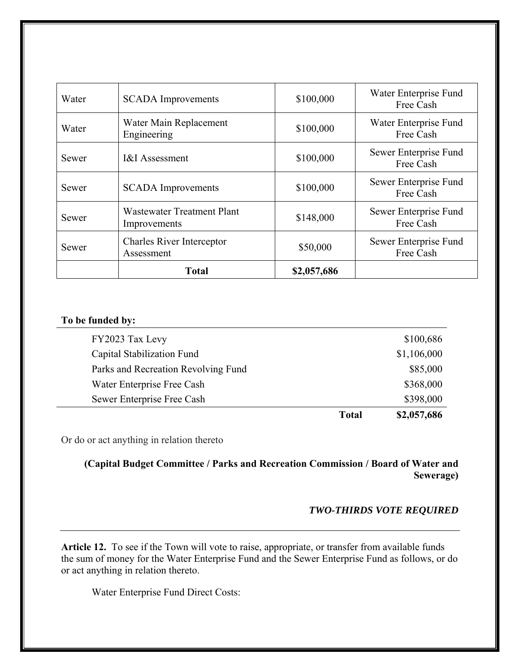|       | <b>Total</b>                                      | \$2,057,686 |                                    |
|-------|---------------------------------------------------|-------------|------------------------------------|
| Sewer | <b>Charles River Interceptor</b><br>Assessment    | \$50,000    | Sewer Enterprise Fund<br>Free Cash |
| Sewer | <b>Wastewater Treatment Plant</b><br>Improvements | \$148,000   | Sewer Enterprise Fund<br>Free Cash |
| Sewer | <b>SCADA</b> Improvements                         | \$100,000   | Sewer Enterprise Fund<br>Free Cash |
| Sewer | <b>I&amp;I</b> Assessment                         | \$100,000   | Sewer Enterprise Fund<br>Free Cash |
| Water | Water Main Replacement<br>Engineering             | \$100,000   | Water Enterprise Fund<br>Free Cash |
| Water | <b>SCADA</b> Improvements                         | \$100,000   | Water Enterprise Fund<br>Free Cash |

# **To be funded by:**

|                                     | Total | \$2,057,686 |
|-------------------------------------|-------|-------------|
| Sewer Enterprise Free Cash          |       | \$398,000   |
| Water Enterprise Free Cash          |       | \$368,000   |
| Parks and Recreation Revolving Fund |       | \$85,000    |
| Capital Stabilization Fund          |       | \$1,106,000 |
| FY2023 Tax Levy                     |       | \$100,686   |
|                                     |       |             |

Or do or act anything in relation thereto

**(Capital Budget Committee / Parks and Recreation Commission / Board of Water and Sewerage)**

# *TWO-THIRDS VOTE REQUIRED*

**Article 12.** To see if the Town will vote to raise, appropriate, or transfer from available funds the sum of money for the Water Enterprise Fund and the Sewer Enterprise Fund as follows, or do or act anything in relation thereto.

Water Enterprise Fund Direct Costs: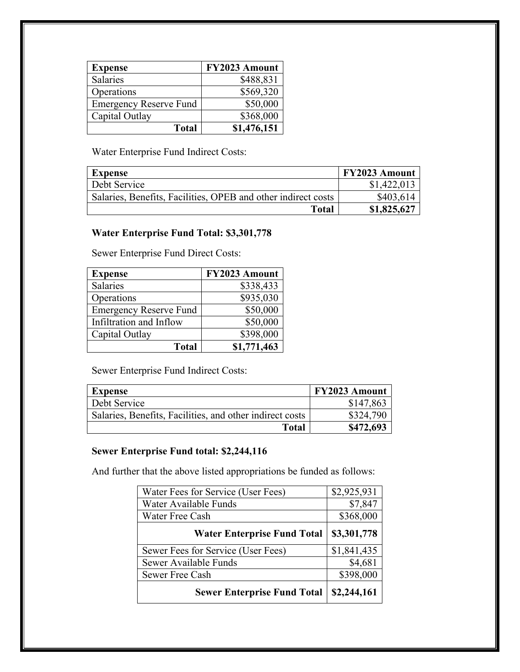| <b>Expense</b>                | FY2023 Amount |
|-------------------------------|---------------|
| <b>Salaries</b>               | \$488,831     |
| Operations                    | \$569,320     |
| <b>Emergency Reserve Fund</b> | \$50,000      |
| Capital Outlay                | \$368,000     |
| <b>Total</b>                  | \$1,476,151   |

Water Enterprise Fund Indirect Costs:

| <b>Expense</b>                                                | <b>FY2023 Amount</b> |
|---------------------------------------------------------------|----------------------|
| Debt Service                                                  | \$1,422,013          |
| Salaries, Benefits, Facilities, OPEB and other indirect costs | \$403,614            |
| Total                                                         | \$1,825,627          |

# **Water Enterprise Fund Total: \$3,301,778**

Sewer Enterprise Fund Direct Costs:

| <b>Expense</b>                | FY2023 Amount |
|-------------------------------|---------------|
| Salaries                      | \$338,433     |
| Operations                    | \$935,030     |
| <b>Emergency Reserve Fund</b> | \$50,000      |
| Infiltration and Inflow       | \$50,000      |
| Capital Outlay                | \$398,000     |
| <b>Total</b>                  | \$1,771,463   |

Sewer Enterprise Fund Indirect Costs:

| <b>Expense</b>                                           | <b>FY2023 Amount</b> |
|----------------------------------------------------------|----------------------|
| Debt Service                                             | \$147,863            |
| Salaries, Benefits, Facilities, and other indirect costs | \$324,790            |
| <b>Total</b>                                             | \$472,693            |

# **Sewer Enterprise Fund total: \$2,244,116**

And further that the above listed appropriations be funded as follows:

| Water Fees for Service (User Fees) | \$2,925,931 |
|------------------------------------|-------------|
| Water Available Funds              | \$7,847     |
| Water Free Cash                    | \$368,000   |
| <b>Water Enterprise Fund Total</b> | \$3,301,778 |
| Sewer Fees for Service (User Fees) | \$1,841,435 |
| Sewer Available Funds              | \$4,681     |
| Sewer Free Cash                    | \$398,000   |
|                                    |             |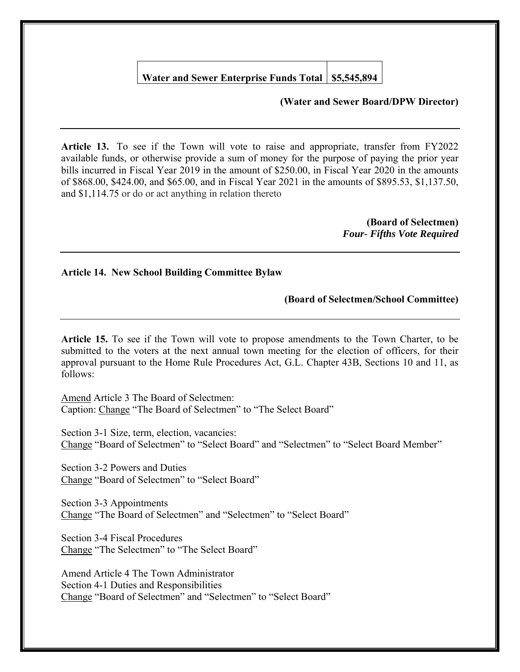# **Water and Sewer Enterprise Funds Total \$5,545,894**

# **(Water and Sewer Board/DPW Director)**

**Article 13.** To see if the Town will vote to raise and appropriate, transfer from FY2022 available funds, or otherwise provide a sum of money for the purpose of paying the prior year bills incurred in Fiscal Year 2019 in the amount of \$250.00, in Fiscal Year 2020 in the amounts of \$868.00, \$424.00, and \$65.00, and in Fiscal Year 2021 in the amounts of \$895.53, \$1,137.50, and \$1,114.75 or do or act anything in relation thereto

> **(Board of Selectmen)** *Four- Fifths Vote Required*

### **Article 14. New School Building Committee Bylaw**

### **(Board of Selectmen/School Committee)**

**Article 15.** To see if the Town will vote to propose amendments to the Town Charter, to be submitted to the voters at the next annual town meeting for the election of officers, for their approval pursuant to the Home Rule Procedures Act, G.L. Chapter 43B, Sections 10 and 11, as follows:

Amend Article 3 The Board of Selectmen: Caption: Change "The Board of Selectmen" to "The Select Board"

Section 3-1 Size, term, election, vacancies: Change "Board of Selectmen" to "Select Board" and "Selectmen" to "Select Board Member"

Section 3-2 Powers and Duties Change "Board of Selectmen" to "Select Board"

Section 3-3 Appointments Change "The Board of Selectmen" and "Selectmen" to "Select Board"

Section 3-4 Fiscal Procedures Change "The Selectmen" to "The Select Board"

Amend Article 4 The Town Administrator Section 4-1 Duties and Responsibilities Change "Board of Selectmen" and "Selectmen" to "Select Board"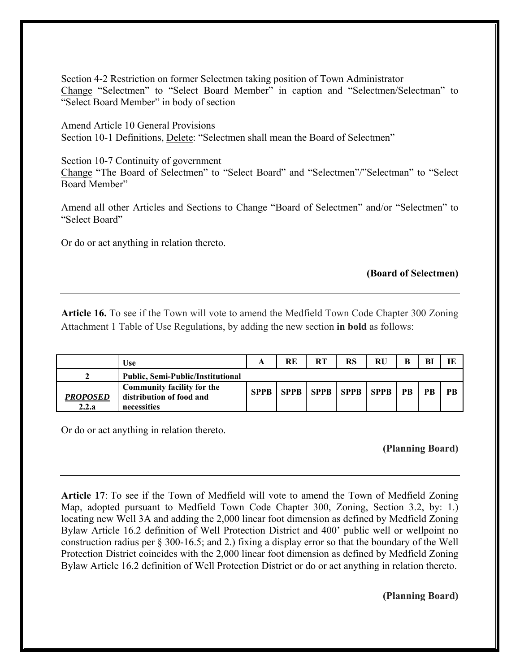Section 4-2 Restriction on former Selectmen taking position of Town Administrator Change "Selectmen" to "Select Board Member" in caption and "Selectmen/Selectman" to "Select Board Member" in body of section

Amend Article 10 General Provisions Section 10-1 Definitions, Delete: "Selectmen shall mean the Board of Selectmen"

Section 10-7 Continuity of government Change "The Board of Selectmen" to "Select Board" and "Selectmen"/"Selectman" to "Select Board Member"

Amend all other Articles and Sections to Change "Board of Selectmen" and/or "Selectmen" to "Select Board"

Or do or act anything in relation thereto.

# **(Board of Selectmen)**

**Article 16.** To see if the Town will vote to amend the Medfield Town Code Chapter 300 Zoning Attachment 1 Table of Use Regulations, by adding the new section **in bold** as follows:

|                          | <b>Use</b>                                                            | A | RE | <b>RT</b> | RS                               | RU | B         | <b>B</b>  |    |
|--------------------------|-----------------------------------------------------------------------|---|----|-----------|----------------------------------|----|-----------|-----------|----|
|                          | <b>Public, Semi-Public/Institutional</b>                              |   |    |           |                                  |    |           |           |    |
| <b>PROPOSED</b><br>2.2.a | Community facility for the<br>distribution of food and<br>necessities |   |    |           | SPPB   SPPB   SPPB   SPPB   SPPB |    | <b>PB</b> | <b>PB</b> | PR |

Or do or act anything in relation thereto.

# **(Planning Board)**

**Article 17**: To see if the Town of Medfield will vote to amend the Town of Medfield Zoning Map, adopted pursuant to Medfield Town Code Chapter 300, Zoning, Section 3.2, by: 1.) locating new Well 3A and adding the 2,000 linear foot dimension as defined by Medfield Zoning Bylaw Article 16.2 definition of Well Protection District and 400' public well or wellpoint no construction radius per § 300-16.5; and 2.) fixing a display error so that the boundary of the Well Protection District coincides with the 2,000 linear foot dimension as defined by Medfield Zoning Bylaw Article 16.2 definition of Well Protection District or do or act anything in relation thereto.

# **(Planning Board)**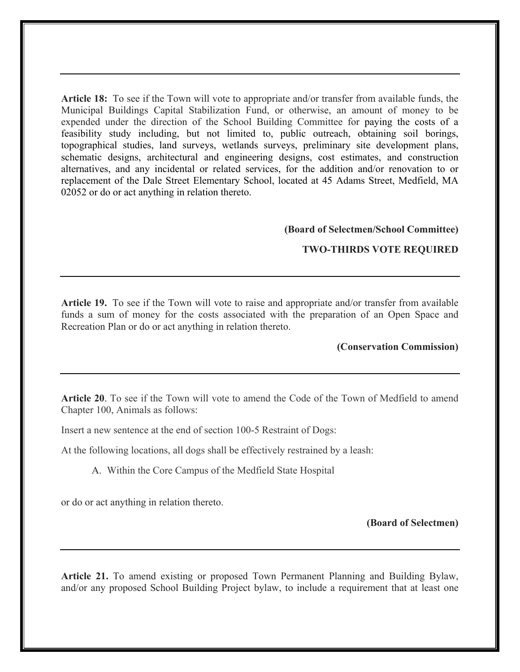**Article 18:** To see if the Town will vote to appropriate and/or transfer from available funds, the Municipal Buildings Capital Stabilization Fund, or otherwise, an amount of money to be expended under the direction of the School Building Committee for paying the costs of a feasibility study including, but not limited to, public outreach, obtaining soil borings, topographical studies, land surveys, wetlands surveys, preliminary site development plans, schematic designs, architectural and engineering designs, cost estimates, and construction alternatives, and any incidental or related services, for the addition and/or renovation to or replacement of the Dale Street Elementary School, located at 45 Adams Street, Medfield, MA 02052 or do or act anything in relation thereto.

#### **(Board of Selectmen/School Committee)**

### **TWO-THIRDS VOTE REQUIRED**

**Article 19.** To see if the Town will vote to raise and appropriate and/or transfer from available funds a sum of money for the costs associated with the preparation of an Open Space and Recreation Plan or do or act anything in relation thereto.

## **(Conservation Commission)**

**Article 20**. To see if the Town will vote to amend the Code of the Town of Medfield to amend Chapter 100, Animals as follows:

Insert a new sentence at the end of section 100-5 Restraint of Dogs:

At the following locations, all dogs shall be effectively restrained by a leash:

A. Within the Core Campus of the Medfield State Hospital

or do or act anything in relation thereto.

#### **(Board of Selectmen)**

**Article 21.** To amend existing or proposed Town Permanent Planning and Building Bylaw, and/or any proposed School Building Project bylaw, to include a requirement that at least one